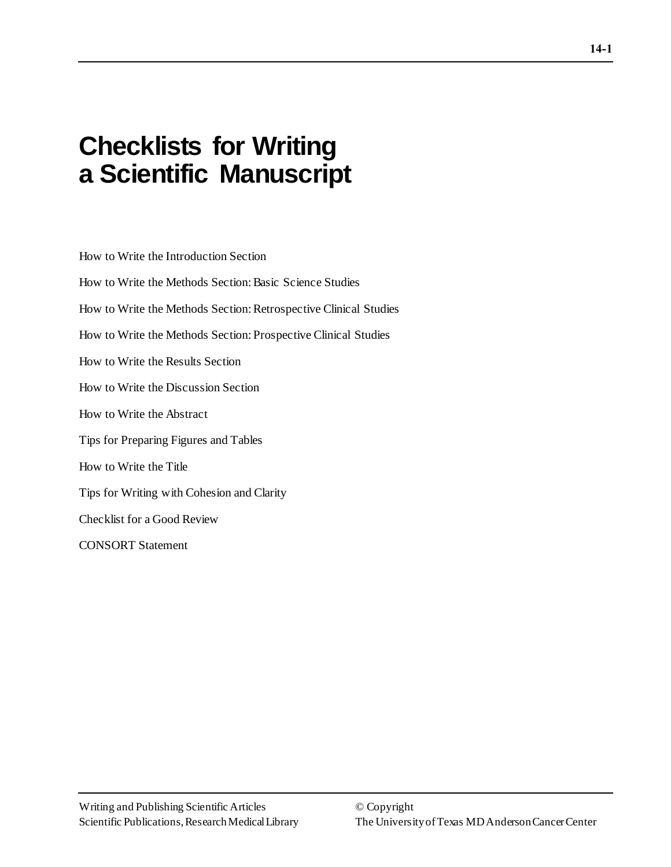# **Checklists for Writing a Scientific Manuscript**

How to Write the Introduction Section How to Write the Methods Section: Basic Science Studies How to Write the Methods Section: Retrospective Clinical Studies How to Write the Methods Section: Prospective Clinical Studies How to Write the Results Section How to Write the Discussion Section How to Write the Abstract Tips for Preparing Figures and Tables How to Write the Title Tips for Writing with Cohesion and Clarity Checklist for a Good Review CONSORT Statement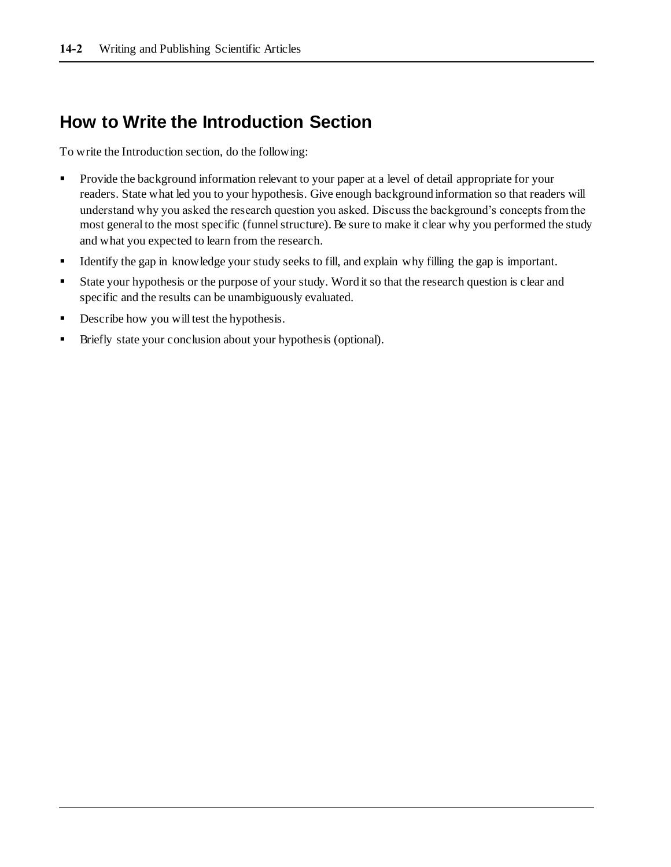### **How to Write the Introduction Section**

To write the Introduction section, do the following:

- **•** Provide the background information relevant to your paper at a level of detail appropriate for your readers. State what led you to your hypothesis. Give enough background information so that readers will understand why you asked the research question you asked. Discuss the background's concepts from the most general to the most specific (funnel structure). Be sure to make it clear why you performed the study and what you expected to learn from the research.
- Identify the gap in knowledge your study seeks to fill, and explain why filling the gap is important.
- **Example 1** State your hypothesis or the purpose of your study. Word it so that the research question is clear and specific and the results can be unambiguously evaluated.
- **•** Describe how you will test the hypothesis.
- Briefly state your conclusion about your hypothesis (optional).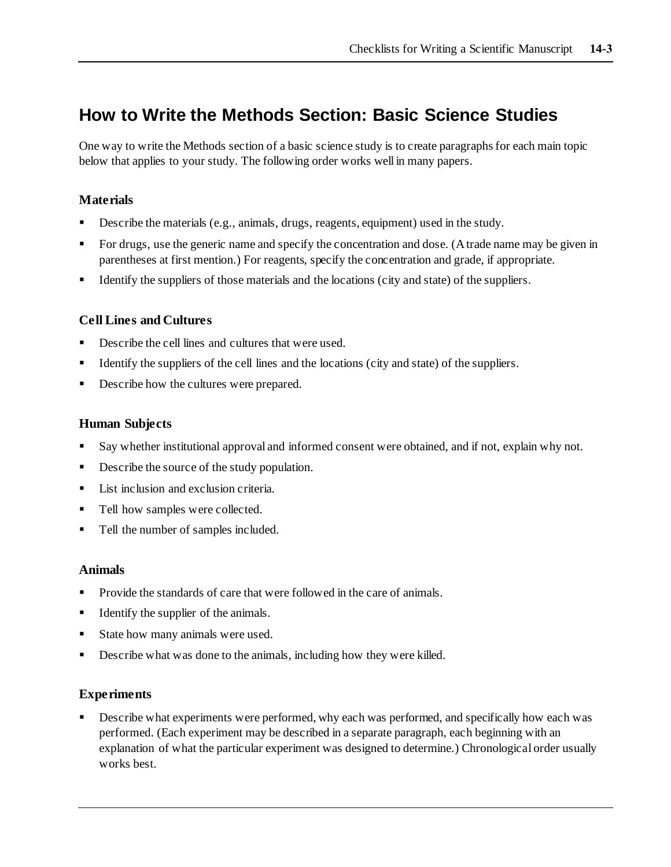### **How to Write the Methods Section: Basic Science Studies**

One way to write the Methods section of a basic science study is to create paragraphs for each main topic below that applies to your study. The following order works well in many papers.

#### **Materials**

- Describe the materials (e.g., animals, drugs, reagents, equipment) used in the study.
- For drugs, use the generic name and specify the concentration and dose. (A trade name may be given in parentheses at first mention.) For reagents, specify the concentration and grade, if appropriate.
- **•** Identify the suppliers of those materials and the locations (city and state) of the suppliers.

#### **Cell Lines and Cultures**

- Describe the cell lines and cultures that were used.
- Identify the suppliers of the cell lines and the locations (city and state) of the suppliers.
- Describe how the cultures were prepared.

#### **Human Subjects**

- Say whether institutional approval and informed consent were obtained, and if not, explain why not.
- Describe the source of the study population.
- List inclusion and exclusion criteria.
- Tell how samples were collected.
- Tell the number of samples included.

#### **Animals**

- Provide the standards of care that were followed in the care of animals.
- Identify the supplier of the animals.
- State how many animals were used.
- Describe what was done to the animals, including how they were killed.

#### **Experiments**

Describe what experiments were performed, why each was performed, and specifically how each was performed. (Each experiment may be described in a separate paragraph, each beginning with an explanation of what the particular experiment was designed to determine.) Chronological order usually works best.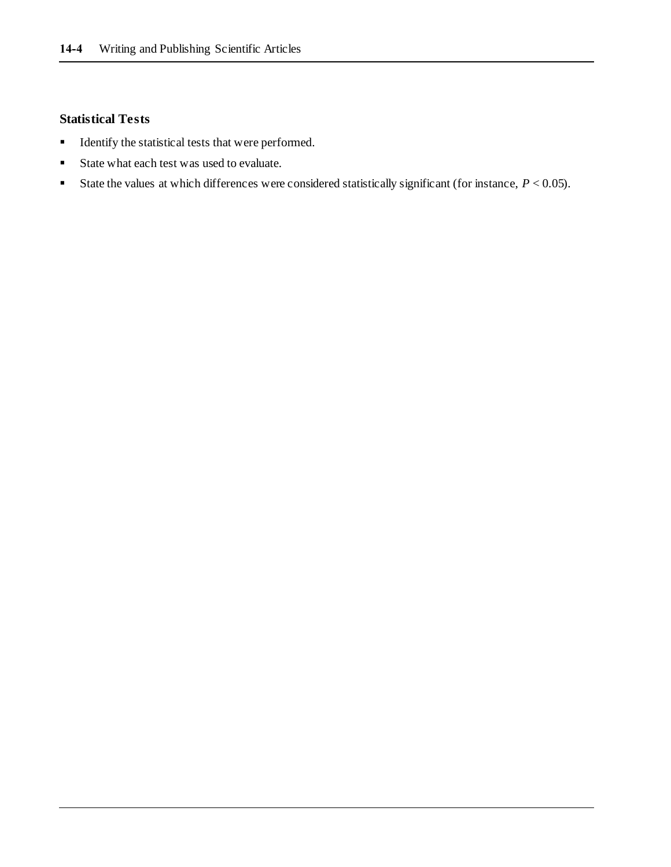#### **Statistical Tests**

- Identify the statistical tests that were performed.
- State what each test was used to evaluate.
- State the values at which differences were considered statistically significant (for instance,  $P < 0.05$ ).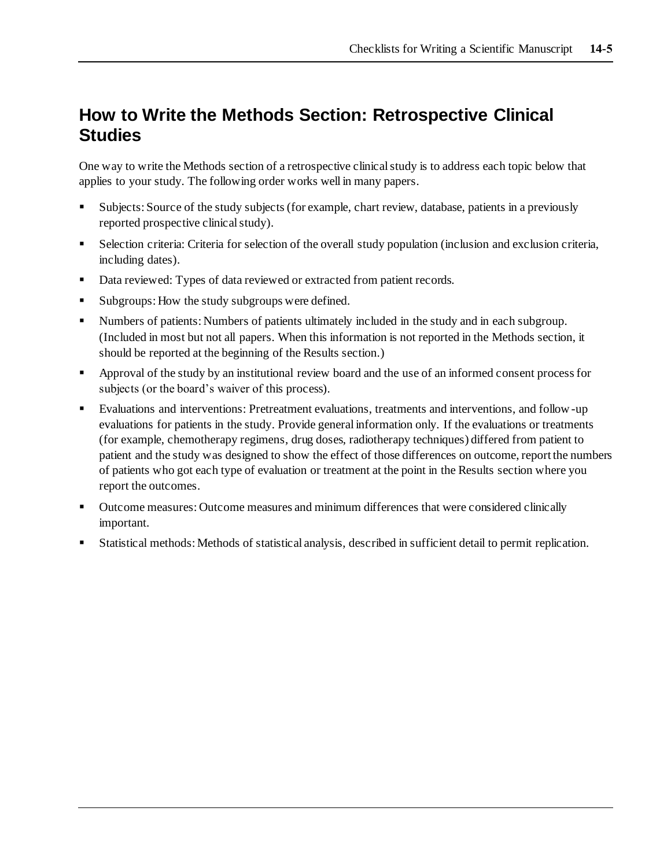## **How to Write the Methods Section: Retrospective Clinical Studies**

One way to write the Methods section of a retrospective clinical study is to address each topic below that applies to your study. The following order works well in many papers.

- Subjects: Source of the study subjects (for example, chart review, database, patients in a previously reported prospective clinical study).
- Selection criteria: Criteria for selection of the overall study population (inclusion and exclusion criteria, including dates).
- Data reviewed: Types of data reviewed or extracted from patient records.
- Subgroups: How the study subgroups were defined.
- Numbers of patients: Numbers of patients ultimately included in the study and in each subgroup. (Included in most but not all papers. When this information is not reported in the Methods section, it should be reported at the beginning of the Results section.)
- Approval of the study by an institutional review board and the use of an informed consent process for subjects (or the board's waiver of this process).
- Evaluations and interventions: Pretreatment evaluations, treatments and interventions, and follow-up evaluations for patients in the study. Provide general information only. If the evaluations or treatments (for example, chemotherapy regimens, drug doses, radiotherapy techniques) differed from patient to patient and the study was designed to show the effect of those differences on outcome, report the numbers of patients who got each type of evaluation or treatment at the point in the Results section where you report the outcomes.
- Outcome measures: Outcome measures and minimum differences that were considered clinically important.
- Statistical methods: Methods of statistical analysis, described in sufficient detail to permit replication.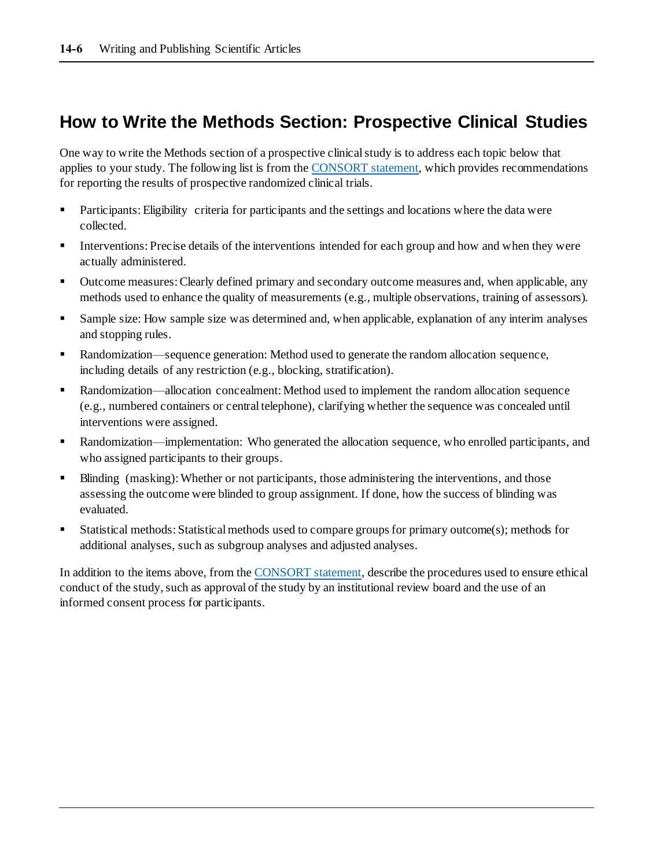### **How to Write the Methods Section: Prospective Clinical Studies**

One way to write the Methods section of a prospective clinical study is to address each topic below that applies to your study. The following list is from th[e CONSORT statement](https://www.acpjournals.org/doi/10.7326/0003-4819-152-11-201006010-00232?articleid=745807), which provides recommendations for reporting the results of prospective randomized clinical trials.

- **•** Participants: Eligibility criteria for participants and the settings and locations where the data were collected.
- **•** Interventions: Precise details of the interventions intended for each group and how and when they were actually administered.
- Outcome measures: Clearly defined primary and secondary outcome measures and, when applicable, any methods used to enhance the quality of measurements (e.g., multiple observations, training of assessors).
- Sample size: How sample size was determined and, when applicable, explanation of any interim analyses and stopping rules.
- Randomization—sequence generation: Method used to generate the random allocation sequence, including details of any restriction (e.g., blocking, stratification).
- Randomization—allocation concealment: Method used to implement the random allocation sequence (e.g., numbered containers or central telephone), clarifying whether the sequence was concealed until interventions were assigned.
- Randomization—implementation: Who generated the allocation sequence, who enrolled participants, and who assigned participants to their groups.
- Blinding (masking): Whether or not participants, those administering the interventions, and those assessing the outcome were blinded to group assignment. If done, how the success of blinding was evaluated.
- Statistical methods: Statistical methods used to compare groups for primary outcome(s); methods for additional analyses, such as subgroup analyses and adjusted analyses.

In addition to the items above, from th[e CONSORT statement](https://www.acpjournals.org/doi/10.7326/0003-4819-152-11-201006010-00232?articleid=745807), describe the procedures used to ensure ethical conduct of the study, such as approval of the study by an institutional review board and the use of an informed consent process for participants.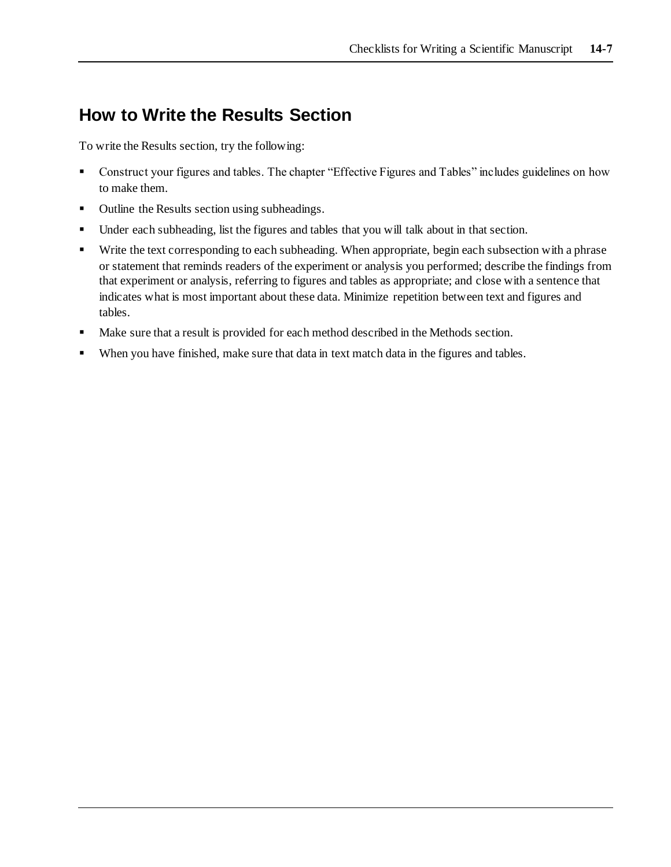### **How to Write the Results Section**

To write the Results section, try the following:

- Construct your figures and tables. The chapter "Effective Figures and Tables" includes guidelines on how to make them.
- Outline the Results section using subheadings.
- Under each subheading, list the figures and tables that you will talk about in that section.
- Write the text corresponding to each subheading. When appropriate, begin each subsection with a phrase or statement that reminds readers of the experiment or analysis you performed; describe the findings from that experiment or analysis, referring to figures and tables as appropriate; and close with a sentence that indicates what is most important about these data. Minimize repetition between text and figures and tables.
- Make sure that a result is provided for each method described in the Methods section.
- When you have finished, make sure that data in text match data in the figures and tables.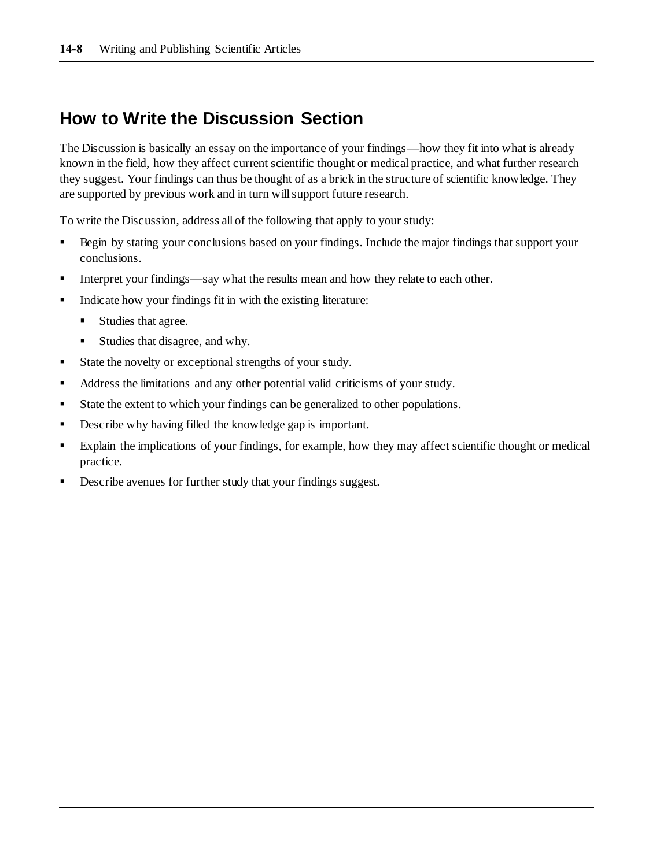### **How to Write the Discussion Section**

The Discussion is basically an essay on the importance of your findings—how they fit into what is already known in the field, how they affect current scientific thought or medical practice, and what further research they suggest. Your findings can thus be thought of as a brick in the structure of scientific knowledge. They are supported by previous work and in turn will support future research.

To write the Discussion, address all of the following that apply to your study:

- Begin by stating your conclusions based on your findings. Include the major findings that support your conclusions.
- Interpret your findings—say what the results mean and how they relate to each other.
- Indicate how your findings fit in with the existing literature:
	- Studies that agree.
	- Studies that disagree, and why.
- State the novelty or exceptional strengths of your study.
- Address the limitations and any other potential valid criticisms of your study.
- State the extent to which your findings can be generalized to other populations.
- Describe why having filled the knowledge gap is important.
- Explain the implications of your findings, for example, how they may affect scientific thought or medical practice.
- Describe avenues for further study that your findings suggest.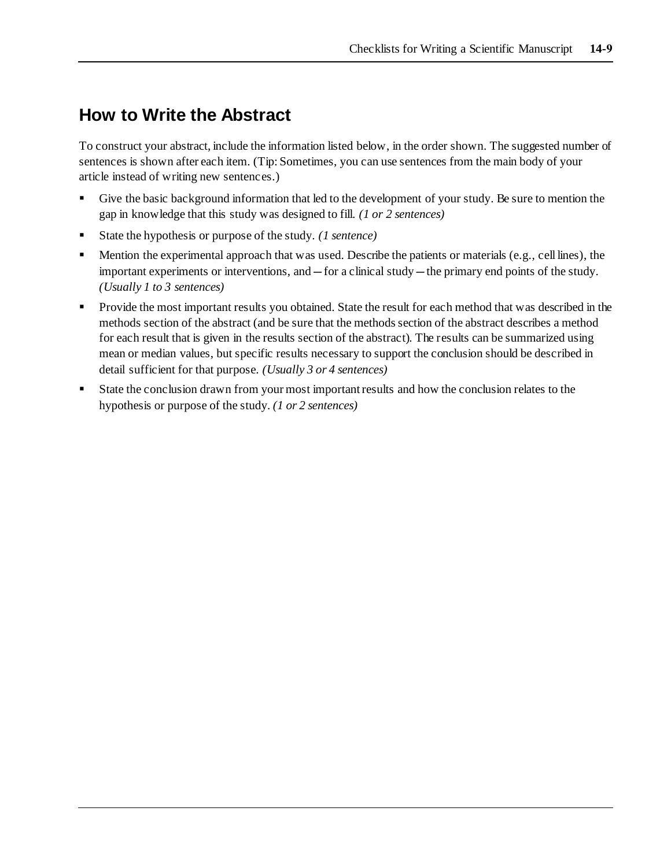### **How to Write the Abstract**

To construct your abstract, include the information listed below, in the order shown. The suggested number of sentences is shown after each item. (Tip: Sometimes, you can use sentences from the main body of your article instead of writing new sentences.)

- Give the basic background information that led to the development of your study. Be sure to mention the gap in knowledge that this study was designed to fill. *(1 or 2 sentences)*
- State the hypothesis or purpose of the study. *(1 sentence)*
- Mention the experimental approach that was used. Describe the patients or materials (e.g., cell lines), the important experiments or interventions, and—for a clinical study—the primary end points of the study. *(Usually 1 to 3 sentences)*
- Provide the most important results you obtained. State the result for each method that was described in the methods section of the abstract (and be sure that the methods section of the abstract describes a method for each result that is given in the results section of the abstract). The results can be summarized using mean or median values, but specific results necessary to support the conclusion should be described in detail sufficient for that purpose. *(Usually 3 or 4 sentences)*
- State the conclusion drawn from your most important results and how the conclusion relates to the hypothesis or purpose of the study. *(1 or 2 sentences)*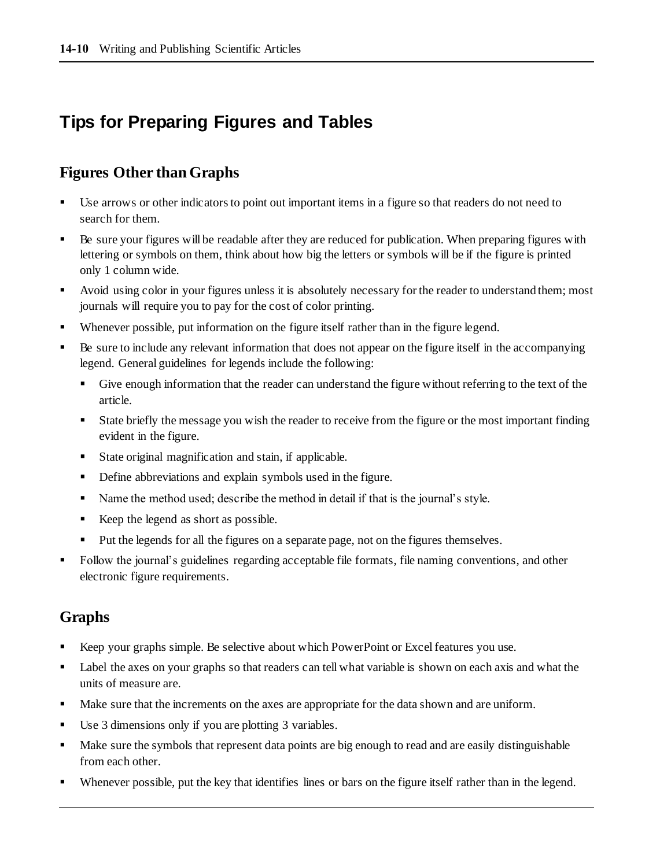# **Tips for Preparing Figures and Tables**

### **Figures Other than Graphs**

- Use arrows or other indicators to point out important items in a figure so that readers do not need to search for them.
- Be sure your figures will be readable after they are reduced for publication. When preparing figures with lettering or symbols on them, think about how big the letters or symbols will be if the figure is printed only 1 column wide.
- Avoid using color in your figures unless it is absolutely necessary for the reader to understand them; most journals will require you to pay for the cost of color printing.
- Whenever possible, put information on the figure itself rather than in the figure legend.
- Be sure to include any relevant information that does not appear on the figure itself in the accompanying legend. General guidelines for legends include the following:
	- **•** Give enough information that the reader can understand the figure without referring to the text of the article.
	- State briefly the message you wish the reader to receive from the figure or the most important finding evident in the figure.
	- State original magnification and stain, if applicable.
	- **•** Define abbreviations and explain symbols used in the figure.
	- Name the method used; describe the method in detail if that is the journal's style.
	- Keep the legend as short as possible.
	- Put the legends for all the figures on a separate page, not on the figures themselves.
- Follow the journal's guidelines regarding acceptable file formats, file naming conventions, and other electronic figure requirements.

### **Graphs**

- Keep your graphs simple. Be selective about which PowerPoint or Excel features you use.
- **•** Label the axes on your graphs so that readers can tell what variable is shown on each axis and what the units of measure are.
- Make sure that the increments on the axes are appropriate for the data shown and are uniform.
- Use 3 dimensions only if you are plotting 3 variables.
- Make sure the symbols that represent data points are big enough to read and are easily distinguishable from each other.
- Whenever possible, put the key that identifies lines or bars on the figure itself rather than in the legend.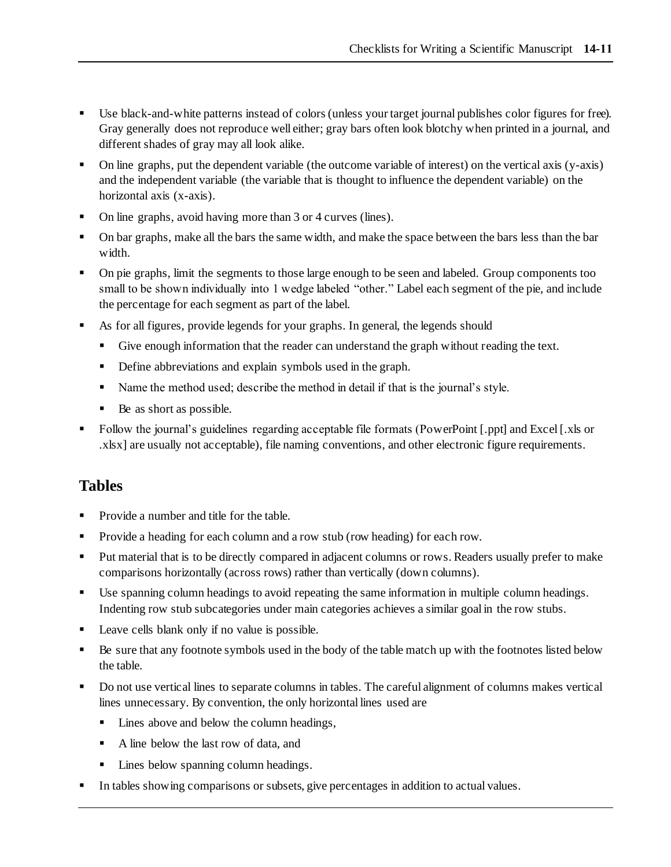- Use black-and-white patterns instead of colors (unless your target journal publishes color figures for free). Gray generally does not reproduce well either; gray bars often look blotchy when printed in a journal, and different shades of gray may all look alike.
- On line graphs, put the dependent variable (the outcome variable of interest) on the vertical axis (y-axis) and the independent variable (the variable that is thought to influence the dependent variable) on the horizontal axis (x-axis).
- On line graphs, avoid having more than 3 or 4 curves (lines).
- On bar graphs, make all the bars the same width, and make the space between the bars less than the bar width.
- On pie graphs, limit the segments to those large enough to be seen and labeled. Group components too small to be shown individually into 1 wedge labeled "other." Label each segment of the pie, and include the percentage for each segment as part of the label.
- As for all figures, provide legends for your graphs. In general, the legends should
	- Give enough information that the reader can understand the graph without reading the text.
	- **•** Define abbreviations and explain symbols used in the graph.
	- Name the method used; describe the method in detail if that is the journal's style.
	- Be as short as possible.
- Follow the journal's guidelines regarding acceptable file formats (PowerPoint [.ppt] and Excel [.xls or .xlsx] are usually not acceptable), file naming conventions, and other electronic figure requirements.

### **Tables**

- Provide a number and title for the table.
- **•** Provide a heading for each column and a row stub (row heading) for each row.
- Put material that is to be directly compared in adjacent columns or rows. Readers usually prefer to make comparisons horizontally (across rows) rather than vertically (down columns).
- Use spanning column headings to avoid repeating the same information in multiple column headings. Indenting row stub subcategories under main categories achieves a similar goal in the row stubs.
- Leave cells blank only if no value is possible.
- Be sure that any footnote symbols used in the body of the table match up with the footnotes listed below the table.
- Do not use vertical lines to separate columns in tables. The careful alignment of columns makes vertical lines unnecessary. By convention, the only horizontal lines used are
	- Lines above and below the column headings,
	- A line below the last row of data, and
	- Lines below spanning column headings.
- In tables showing comparisons or subsets, give percentages in addition to actual values.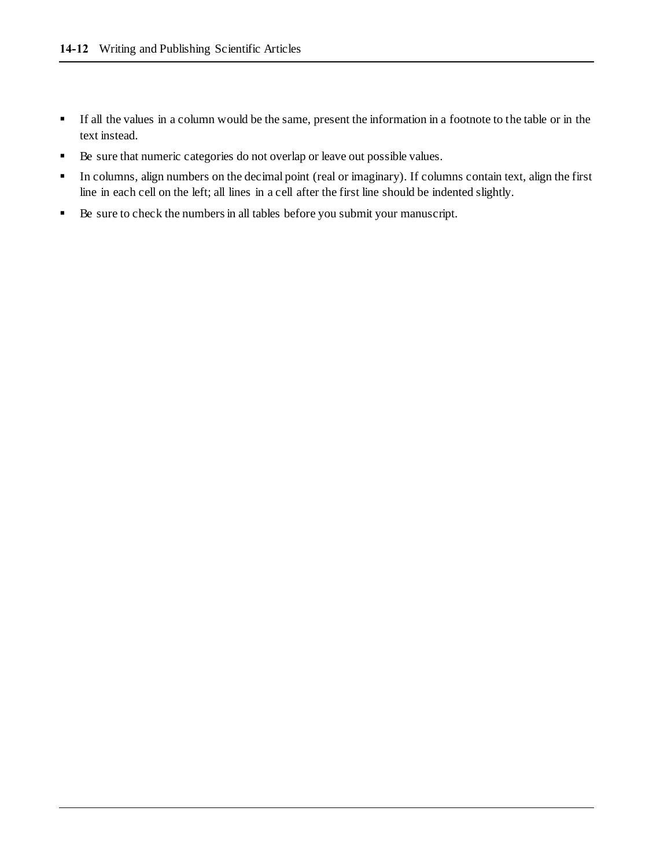- If all the values in a column would be the same, present the information in a footnote to the table or in the text instead.
- Be sure that numeric categories do not overlap or leave out possible values.
- In columns, align numbers on the decimal point (real or imaginary). If columns contain text, align the first line in each cell on the left; all lines in a cell after the first line should be indented slightly.
- Be sure to check the numbers in all tables before you submit your manuscript.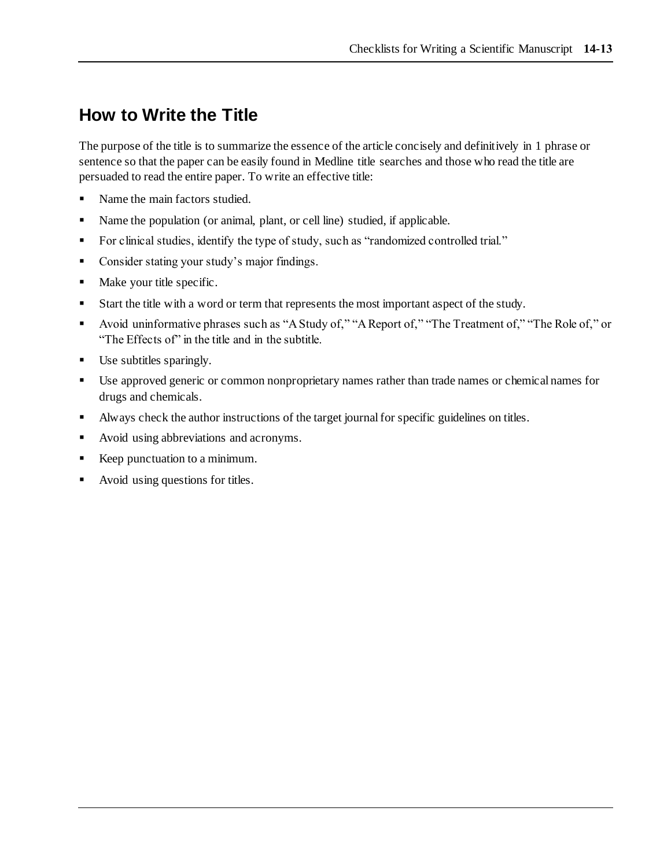### **How to Write the Title**

The purpose of the title is to summarize the essence of the article concisely and definitively in 1 phrase or sentence so that the paper can be easily found in Medline title searches and those who read the title are persuaded to read the entire paper. To write an effective title:

- Name the main factors studied.
- Name the population (or animal, plant, or cell line) studied, if applicable.
- For clinical studies, identify the type of study, such as "randomized controlled trial."
- Consider stating your study's major findings.
- Make your title specific.
- Start the title with a word or term that represents the most important aspect of the study.
- Avoid uninformative phrases such as "A Study of," "A Report of," "The Treatment of," "The Role of," or "The Effects of" in the title and in the subtitle.
- Use subtitles sparingly.
- Use approved generic or common nonproprietary names rather than trade names or chemical names for drugs and chemicals.
- Always check the author instructions of the target journal for specific guidelines on titles.
- Avoid using abbreviations and acronyms.
- Keep punctuation to a minimum.
- Avoid using questions for titles.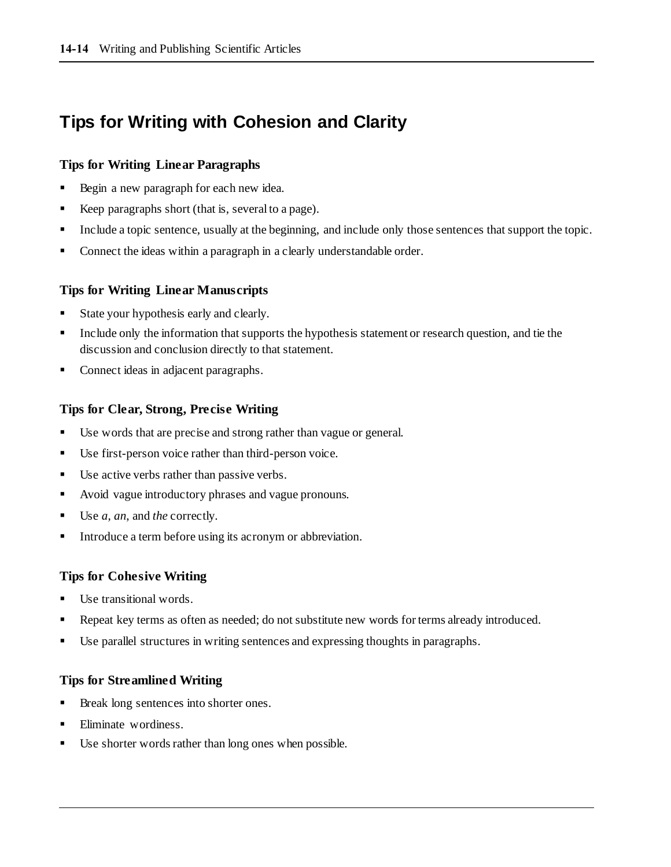# **Tips for Writing with Cohesion and Clarity**

#### **Tips for Writing Linear Paragraphs**

- Begin a new paragraph for each new idea.
- Keep paragraphs short (that is, several to a page).
- Include a topic sentence, usually at the beginning, and include only those sentences that support the topic.
- Connect the ideas within a paragraph in a clearly understandable order.

#### **Tips for Writing Linear Manuscripts**

- State your hypothesis early and clearly.
- **•** Include only the information that supports the hypothesis statement or research question, and tie the discussion and conclusion directly to that statement.
- Connect ideas in adjacent paragraphs.

#### **Tips for Clear, Strong, Precise Writing**

- Use words that are precise and strong rather than vague or general.
- Use first-person voice rather than third-person voice.
- Use active verbs rather than passive verbs.
- Avoid vague introductory phrases and vague pronouns.
- Use *a*, *an*, and *the* correctly.
- Introduce a term before using its acronym or abbreviation.

#### **Tips for Cohesive Writing**

- Use transitional words.
- Repeat key terms as often as needed; do not substitute new words for terms already introduced.
- Use parallel structures in writing sentences and expressing thoughts in paragraphs.

#### **Tips for Streamlined Writing**

- Break long sentences into shorter ones.
- Eliminate wordiness.
- Use shorter words rather than long ones when possible.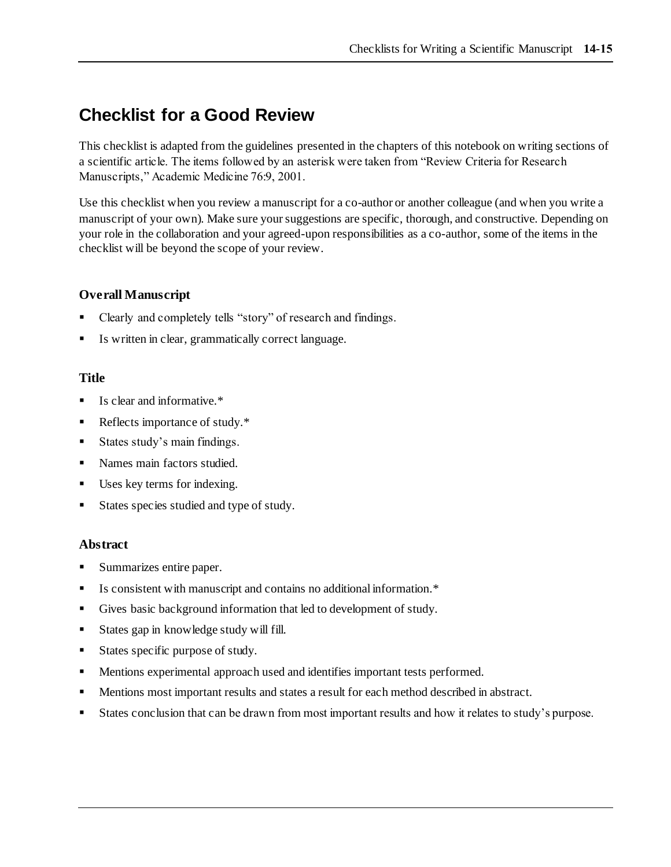## **Checklist for a Good Review**

This checklist is adapted from the guidelines presented in the chapters of this notebook on writing sections of a scientific article. The items followed by an asterisk were taken from "Review Criteria for Research Manuscripts," Academic Medicine 76:9, 2001.

Use this checklist when you review a manuscript for a co-author or another colleague (and when you write a manuscript of your own). Make sure your suggestions are specific, thorough, and constructive. Depending on your role in the collaboration and your agreed-upon responsibilities as a co-author, some of the items in the checklist will be beyond the scope of your review.

#### **Overall Manuscript**

- Clearly and completely tells "story" of research and findings.
- Is written in clear, grammatically correct language.

#### **Title**

- Is clear and informative.\*
- Reflects importance of study.\*
- States study's main findings.
- Names main factors studied.
- Uses key terms for indexing.
- States species studied and type of study.

#### **Abstract**

- Summarizes entire paper.
- Is consistent with manuscript and contains no additional information.\*
- Gives basic background information that led to development of study.
- States gap in knowledge study will fill.
- States specific purpose of study.
- **•** Mentions experimental approach used and identifies important tests performed.
- Mentions most important results and states a result for each method described in abstract.
- States conclusion that can be drawn from most important results and how it relates to study's purpose.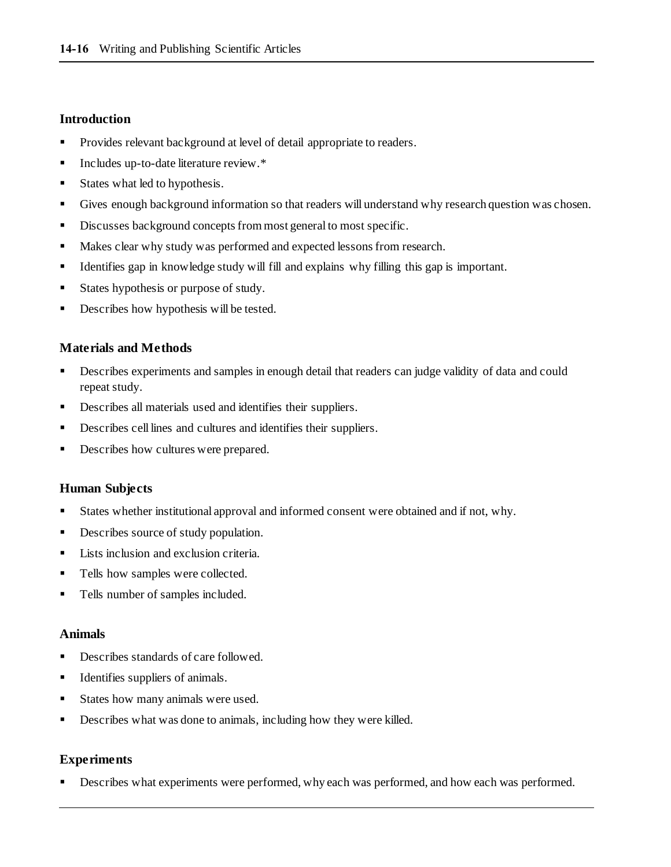#### **Introduction**

- **•** Provides relevant background at level of detail appropriate to readers.
- Includes up-to-date literature review. <sup>\*</sup>
- States what led to hypothesis.
- Gives enough background information so that readers will understand why research question was chosen.
- Discusses background concepts from most general to most specific.
- Makes clear why study was performed and expected lessons from research.
- Identifies gap in knowledge study will fill and explains why filling this gap is important.
- States hypothesis or purpose of study.
- Describes how hypothesis will be tested.

#### **Materials and Methods**

- Describes experiments and samples in enough detail that readers can judge validity of data and could repeat study.
- Describes all materials used and identifies their suppliers.
- Describes cell lines and cultures and identifies their suppliers.
- Describes how cultures were prepared.

#### **Human Subjects**

- States whether institutional approval and informed consent were obtained and if not, why.
- Describes source of study population.
- Lists inclusion and exclusion criteria.
- Tells how samples were collected.
- Tells number of samples included.

#### **Animals**

- Describes standards of care followed.
- Identifies suppliers of animals.
- States how many animals were used.
- Describes what was done to animals, including how they were killed.

#### **Experiments**

Describes what experiments were performed, why each was performed, and how each was performed.